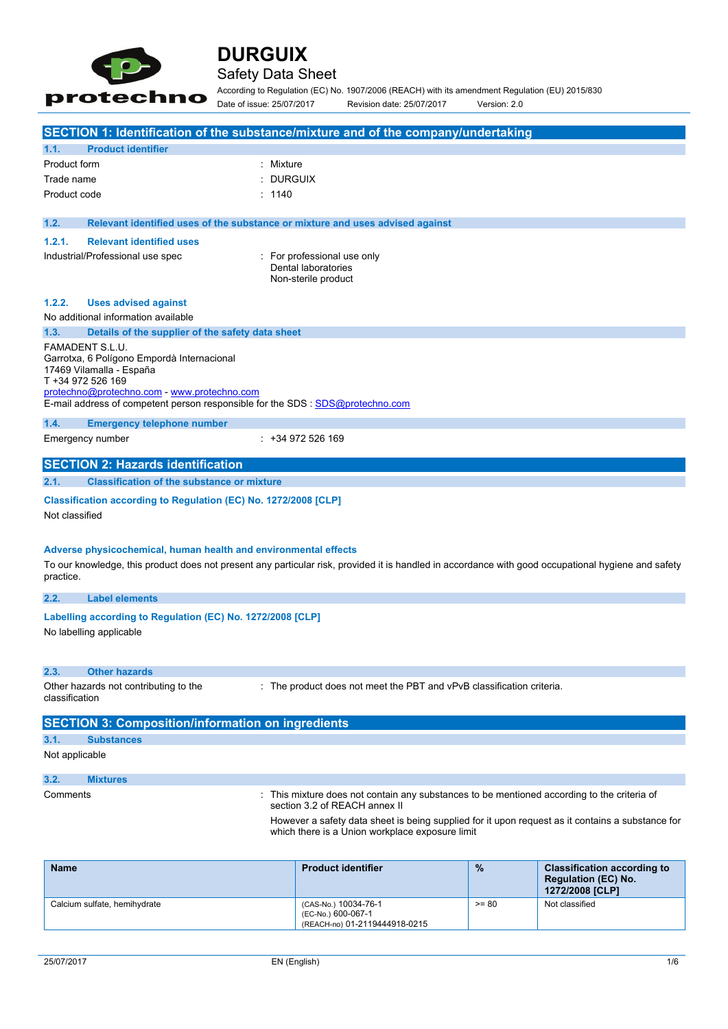

## Safety Data Sheet

According to Regulation (EC) No. 1907/2006 (REACH) with its amendment Regulation (EU) 2015/830 Date of issue: 25/07/2017 Revision date: 25/07/2017 Version: 2.0

|                             | SECTION 1: Identification of the substance/mixture and of the company/undertaking                                                                                                                                                                                                         |                |                                                                                                                            |   |                                    |
|-----------------------------|-------------------------------------------------------------------------------------------------------------------------------------------------------------------------------------------------------------------------------------------------------------------------------------------|----------------|----------------------------------------------------------------------------------------------------------------------------|---|------------------------------------|
| 1.1.                        | <b>Product identifier</b>                                                                                                                                                                                                                                                                 |                |                                                                                                                            |   |                                    |
| Product form                |                                                                                                                                                                                                                                                                                           | : Mixture      |                                                                                                                            |   |                                    |
| Trade name                  |                                                                                                                                                                                                                                                                                           | <b>DURGUIX</b> |                                                                                                                            |   |                                    |
| Product code                |                                                                                                                                                                                                                                                                                           | : 1140         |                                                                                                                            |   |                                    |
|                             |                                                                                                                                                                                                                                                                                           |                |                                                                                                                            |   |                                    |
| 1.2.                        | Relevant identified uses of the substance or mixture and uses advised against                                                                                                                                                                                                             |                |                                                                                                                            |   |                                    |
| 1.2.1.                      | <b>Relevant identified uses</b>                                                                                                                                                                                                                                                           |                |                                                                                                                            |   |                                    |
|                             | Industrial/Professional use spec                                                                                                                                                                                                                                                          |                | : For professional use only<br>Dental laboratories<br>Non-sterile product                                                  |   |                                    |
| 1.2.2.                      | <b>Uses advised against</b>                                                                                                                                                                                                                                                               |                |                                                                                                                            |   |                                    |
|                             | No additional information available                                                                                                                                                                                                                                                       |                |                                                                                                                            |   |                                    |
| 1.3.                        | Details of the supplier of the safety data sheet                                                                                                                                                                                                                                          |                |                                                                                                                            |   |                                    |
|                             | FAMADENT S.L.U.<br>Garrotxa, 6 Polígono Empordà Internacional<br>17469 Vilamalla - España<br>T +34 972 526 169<br>protechno@protechno.com - www.protechno.com<br>E-mail address of competent person responsible for the SDS : SDS@protechno.com                                           |                |                                                                                                                            |   |                                    |
| 1.4.                        | <b>Emergency telephone number</b>                                                                                                                                                                                                                                                         |                |                                                                                                                            |   |                                    |
|                             | Emergency number                                                                                                                                                                                                                                                                          |                | ∵ +34 972 526 169                                                                                                          |   |                                    |
|                             | <b>SECTION 2: Hazards identification</b>                                                                                                                                                                                                                                                  |                |                                                                                                                            |   |                                    |
| 2.1.                        | <b>Classification of the substance or mixture</b>                                                                                                                                                                                                                                         |                |                                                                                                                            |   |                                    |
| Not classified<br>practice. | Classification according to Regulation (EC) No. 1272/2008 [CLP]<br>Adverse physicochemical, human health and environmental effects<br>To our knowledge, this product does not present any particular risk, provided it is handled in accordance with good occupational hygiene and safety |                |                                                                                                                            |   |                                    |
| 2.2.                        | <b>Label elements</b>                                                                                                                                                                                                                                                                     |                |                                                                                                                            |   |                                    |
|                             | Labelling according to Regulation (EC) No. 1272/2008 [CLP]<br>No labelling applicable                                                                                                                                                                                                     |                |                                                                                                                            |   |                                    |
| 2.3.                        | <b>Other hazards</b>                                                                                                                                                                                                                                                                      |                |                                                                                                                            |   |                                    |
| classification              | Other hazards not contributing to the                                                                                                                                                                                                                                                     |                | : The product does not meet the PBT and vPvB classification criteria.                                                      |   |                                    |
|                             | <b>SECTION 3: Composition/information on ingredients</b>                                                                                                                                                                                                                                  |                |                                                                                                                            |   |                                    |
| 3.1.                        | <b>Substances</b>                                                                                                                                                                                                                                                                         |                |                                                                                                                            |   |                                    |
| Not applicable              |                                                                                                                                                                                                                                                                                           |                |                                                                                                                            |   |                                    |
| 3.2.                        | <b>Mixtures</b>                                                                                                                                                                                                                                                                           |                |                                                                                                                            |   |                                    |
| Comments                    |                                                                                                                                                                                                                                                                                           |                | This mixture does not contain any substances to be mentioned according to the criteria of<br>section 3.2 of REACH annex II |   |                                    |
|                             | However a safety data sheet is being supplied for it upon request as it contains a substance for<br>which there is a Union workplace exposure limit                                                                                                                                       |                |                                                                                                                            |   |                                    |
| <b>Name</b>                 |                                                                                                                                                                                                                                                                                           |                | <b>Product identifier</b>                                                                                                  | % | <b>Classification according to</b> |

| <b>Name</b>                  | <b>Product identifier</b>                                                   | $\frac{9}{6}$ | <b>Classification according to</b><br><b>Regulation (EC) No.</b><br>1272/2008 [CLP] |
|------------------------------|-----------------------------------------------------------------------------|---------------|-------------------------------------------------------------------------------------|
| Calcium sulfate, hemihydrate | (CAS-No.) 10034-76-1<br>(EC-No.) 600-067-1<br>(REACH-no) 01-2119444918-0215 | $>= 80$       | Not classified                                                                      |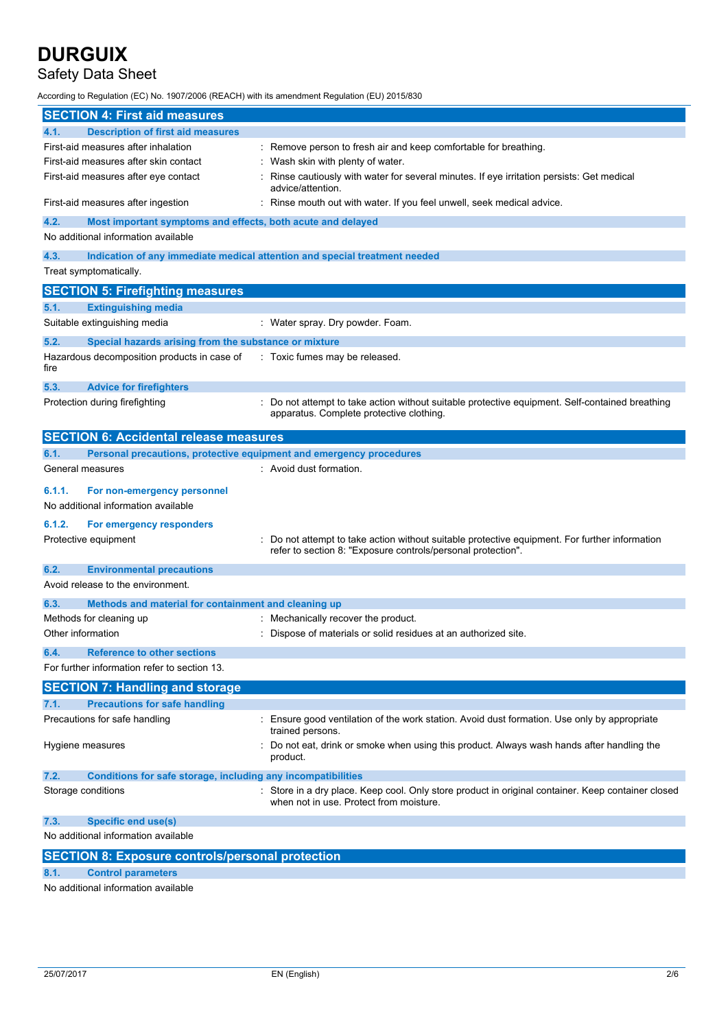## Safety Data Sheet

According to Regulation (EC) No. 1907/2006 (REACH) with its amendment Regulation (EU) 2015/830

| <b>SECTION 4: First aid measures</b>                                                                 |                                                                                                                                                              |
|------------------------------------------------------------------------------------------------------|--------------------------------------------------------------------------------------------------------------------------------------------------------------|
| 4.1.<br><b>Description of first aid measures</b>                                                     |                                                                                                                                                              |
| First-aid measures after inhalation                                                                  | : Remove person to fresh air and keep comfortable for breathing.                                                                                             |
| First-aid measures after skin contact                                                                | Wash skin with plenty of water.                                                                                                                              |
| First-aid measures after eye contact                                                                 | Rinse cautiously with water for several minutes. If eye irritation persists: Get medical<br>advice/attention.                                                |
| First-aid measures after ingestion                                                                   | Rinse mouth out with water. If you feel unwell, seek medical advice.                                                                                         |
| 4.2.<br>Most important symptoms and effects, both acute and delayed                                  |                                                                                                                                                              |
| No additional information available                                                                  |                                                                                                                                                              |
| 4.3.                                                                                                 | Indication of any immediate medical attention and special treatment needed                                                                                   |
| Treat symptomatically.                                                                               |                                                                                                                                                              |
| <b>SECTION 5: Firefighting measures</b>                                                              |                                                                                                                                                              |
| 5.1.<br><b>Extinguishing media</b>                                                                   |                                                                                                                                                              |
| Suitable extinguishing media                                                                         | : Water spray. Dry powder. Foam.                                                                                                                             |
| 5.2.                                                                                                 |                                                                                                                                                              |
| Special hazards arising from the substance or mixture<br>Hazardous decomposition products in case of | : Toxic fumes may be released.                                                                                                                               |
| fire                                                                                                 |                                                                                                                                                              |
| 5.3.<br><b>Advice for firefighters</b>                                                               |                                                                                                                                                              |
| Protection during firefighting                                                                       | Do not attempt to take action without suitable protective equipment. Self-contained breathing                                                                |
|                                                                                                      | apparatus. Complete protective clothing.                                                                                                                     |
| <b>SECTION 6: Accidental release measures</b>                                                        |                                                                                                                                                              |
|                                                                                                      |                                                                                                                                                              |
| 6.1.<br>Personal precautions, protective equipment and emergency procedures<br>General measures      | : Avoid dust formation.                                                                                                                                      |
|                                                                                                      |                                                                                                                                                              |
| 6.1.1.<br>For non-emergency personnel                                                                |                                                                                                                                                              |
| No additional information available                                                                  |                                                                                                                                                              |
| 6.1.2.<br>For emergency responders                                                                   |                                                                                                                                                              |
| Protective equipment                                                                                 | Do not attempt to take action without suitable protective equipment. For further information<br>refer to section 8: "Exposure controls/personal protection". |
| 6.2.<br><b>Environmental precautions</b>                                                             |                                                                                                                                                              |
| Avoid release to the environment.                                                                    |                                                                                                                                                              |
| 6.3.<br>Methods and material for containment and cleaning up                                         |                                                                                                                                                              |
| Methods for cleaning up                                                                              | Mechanically recover the product.                                                                                                                            |
| Other information                                                                                    | Dispose of materials or solid residues at an authorized site.                                                                                                |
| 6.4.<br><b>Reference to other sections</b>                                                           |                                                                                                                                                              |
| For further information refer to section 13.                                                         |                                                                                                                                                              |
|                                                                                                      |                                                                                                                                                              |
| <b>SECTION 7: Handling and storage</b>                                                               |                                                                                                                                                              |
| <b>Precautions for safe handling</b><br>7.1.                                                         |                                                                                                                                                              |
| Precautions for safe handling                                                                        | : Ensure good ventilation of the work station. Avoid dust formation. Use only by appropriate<br>trained persons.                                             |
| Hygiene measures                                                                                     | Do not eat, drink or smoke when using this product. Always wash hands after handling the<br>product.                                                         |
| 7.2.<br>Conditions for safe storage, including any incompatibilities                                 |                                                                                                                                                              |
| Storage conditions                                                                                   | : Store in a dry place. Keep cool. Only store product in original container. Keep container closed<br>when not in use. Protect from moisture.                |
| 7.3.<br><b>Specific end use(s)</b>                                                                   |                                                                                                                                                              |
| No additional information available                                                                  |                                                                                                                                                              |
| <b>SECTION 8: Exposure controls/personal protection</b>                                              |                                                                                                                                                              |
| 8.1.<br><b>Control parameters</b>                                                                    |                                                                                                                                                              |
|                                                                                                      |                                                                                                                                                              |

No additional information available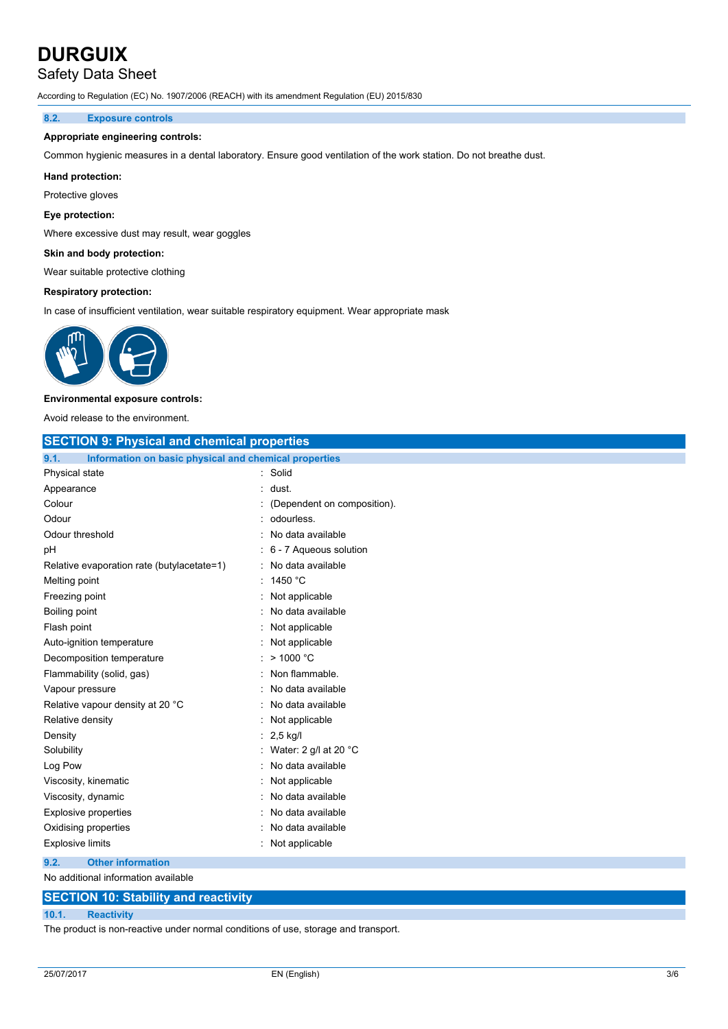## Safety Data Sheet

According to Regulation (EC) No. 1907/2006 (REACH) with its amendment Regulation (EU) 2015/830

### **8.2. Exposure controls**

### **Appropriate engineering controls:**

Common hygienic measures in a dental laboratory. Ensure good ventilation of the work station. Do not breathe dust.

### **Hand protection:**

Protective gloves

### **Eye protection:**

Where excessive dust may result, wear goggles

### **Skin and body protection:**

Wear suitable protective clothing

### **Respiratory protection:**

In case of insufficient ventilation, wear suitable respiratory equipment. Wear appropriate mask



### **Environmental exposure controls:**

Avoid release to the environment.

| <b>SECTION 9: Physical and chemical properties</b>            |                                 |  |  |  |
|---------------------------------------------------------------|---------------------------------|--|--|--|
| Information on basic physical and chemical properties<br>9.1. |                                 |  |  |  |
| Physical state                                                | Solid                           |  |  |  |
| Appearance                                                    | dust.                           |  |  |  |
| Colour                                                        | (Dependent on composition).     |  |  |  |
| Odour                                                         | odourless.                      |  |  |  |
| Odour threshold                                               | No data available               |  |  |  |
| рH                                                            | 6 - 7 Aqueous solution          |  |  |  |
| Relative evaporation rate (butylacetate=1)                    | No data available               |  |  |  |
| Melting point                                                 | 1450 °C                         |  |  |  |
| Freezing point                                                | Not applicable                  |  |  |  |
| Boiling point                                                 | No data available               |  |  |  |
| Flash point                                                   | Not applicable                  |  |  |  |
| Auto-ignition temperature                                     | Not applicable                  |  |  |  |
| Decomposition temperature                                     | $>$ 1000 °C                     |  |  |  |
| Flammability (solid, gas)                                     | Non flammable.                  |  |  |  |
| Vapour pressure                                               | No data available               |  |  |  |
| Relative vapour density at 20 °C                              | No data available               |  |  |  |
| Relative density                                              | Not applicable                  |  |  |  |
| Density                                                       | $2,5$ kg/l                      |  |  |  |
| Solubility                                                    | Water: 2 g/l at 20 $^{\circ}$ C |  |  |  |
| Log Pow                                                       | No data available               |  |  |  |
| Viscosity, kinematic                                          | Not applicable                  |  |  |  |
| Viscosity, dynamic                                            | No data available               |  |  |  |
| <b>Explosive properties</b>                                   | No data available               |  |  |  |
| Oxidising properties                                          | No data available               |  |  |  |
| <b>Explosive limits</b>                                       | Not applicable                  |  |  |  |
| 9.2.<br><b>Other information</b>                              |                                 |  |  |  |

#### No additional information available

### **SECTION 10: Stability and reactivity**

### **10.1. Reactivity**

The product is non-reactive under normal conditions of use, storage and transport.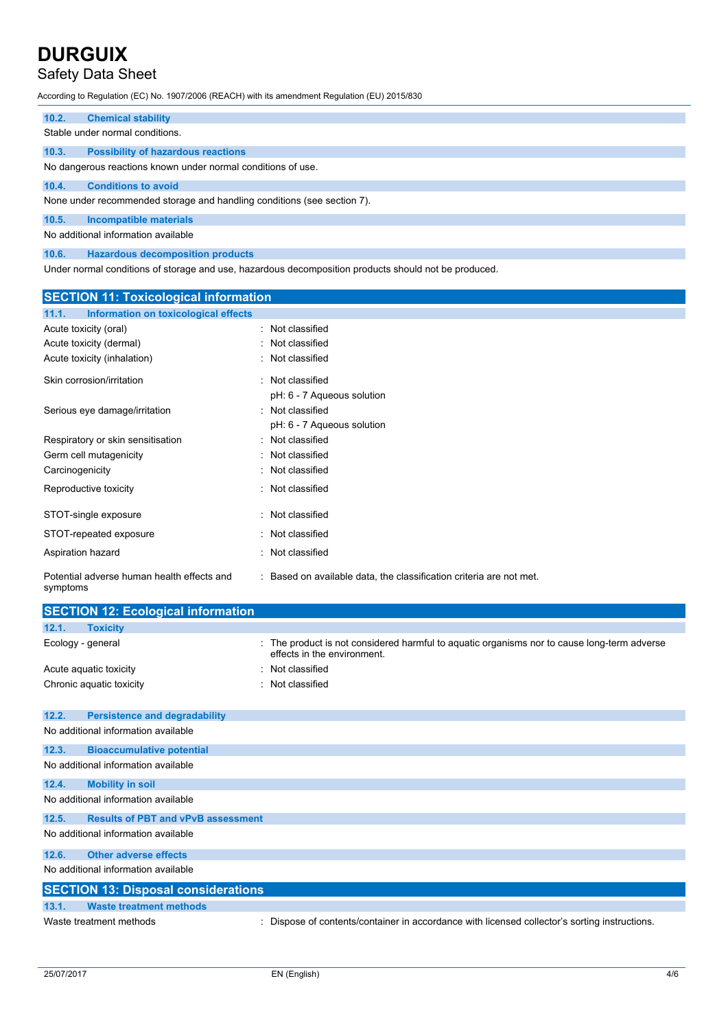# Safety Data Sheet

According to Regulation (EC) No. 1907/2006 (REACH) with its amendment Regulation (EU) 2015/830

| 10.2. | <b>Chemical stability</b>                                               |
|-------|-------------------------------------------------------------------------|
|       | Stable under normal conditions.                                         |
| 10.3. | <b>Possibility of hazardous reactions</b>                               |
|       | No dangerous reactions known under normal conditions of use.            |
| 10.4. | <b>Conditions to avoid</b>                                              |
|       | None under recommended storage and handling conditions (see section 7). |
| 10.5. | Incompatible materials                                                  |
|       | No additional information available                                     |
| 10.6. | <b>Hazardous decomposition products</b>                                 |

Under normal conditions of storage and use, hazardous decomposition products should not be produced.

| <b>SECTION 11: Toxicological information</b>           |                                                                     |
|--------------------------------------------------------|---------------------------------------------------------------------|
| Information on toxicological effects<br>11.1.          |                                                                     |
| Acute toxicity (oral)                                  | : Not classified                                                    |
| Acute toxicity (dermal)                                | Not classified                                                      |
| Acute toxicity (inhalation)                            | Not classified                                                      |
| Skin corrosion/irritation                              | : Not classified                                                    |
|                                                        | pH: 6 - 7 Aqueous solution                                          |
| Serious eye damage/irritation                          | : Not classified                                                    |
|                                                        | pH: 6 - 7 Aqueous solution                                          |
| Respiratory or skin sensitisation                      | Not classified                                                      |
| Germ cell mutagenicity                                 | Not classified<br>٠                                                 |
| Carcinogenicity                                        | Not classified                                                      |
| Reproductive toxicity                                  | Not classified                                                      |
| STOT-single exposure                                   | Not classified                                                      |
| STOT-repeated exposure                                 | : Not classified                                                    |
| Aspiration hazard                                      | Not classified                                                      |
| Potential adverse human health effects and<br>symptoms | : Based on available data, the classification criteria are not met. |
| <b>SECTION 12: Ecological information</b>              |                                                                     |

| 12.1.<br><b>Toxicity</b>                      |                                                                                                                            |
|-----------------------------------------------|----------------------------------------------------------------------------------------------------------------------------|
| Ecology - general                             | : The product is not considered harmful to aquatic organisms nor to cause long-term adverse<br>effects in the environment. |
| Acute aguatic toxicity                        | : Not classified                                                                                                           |
| Chronic aquatic toxicity                      | : Not classified                                                                                                           |
|                                               |                                                                                                                            |
| 12.2.<br><b>Persistence and degradability</b> |                                                                                                                            |
| No additional information available           |                                                                                                                            |
| 12.3.<br><b>Bioaccumulative potential</b>     |                                                                                                                            |
| No additional information available           |                                                                                                                            |
| 12.4.<br><b>Mobility in soil</b>              |                                                                                                                            |
| No additional information available           |                                                                                                                            |
| 12.5.                                         | <b>Results of PBT and vPvB assessment</b>                                                                                  |
| No additional information available           |                                                                                                                            |
| 12.6.<br><b>Other adverse effects</b>         |                                                                                                                            |
| No additional information available           |                                                                                                                            |
| <b>SECTION 13: Disposal considerations</b>    |                                                                                                                            |
| 13.1.<br><b>Waste treatment methods</b>       |                                                                                                                            |
| Waste treatment methods                       | : Dispose of contents/container in accordance with licensed collector's sorting instructions.                              |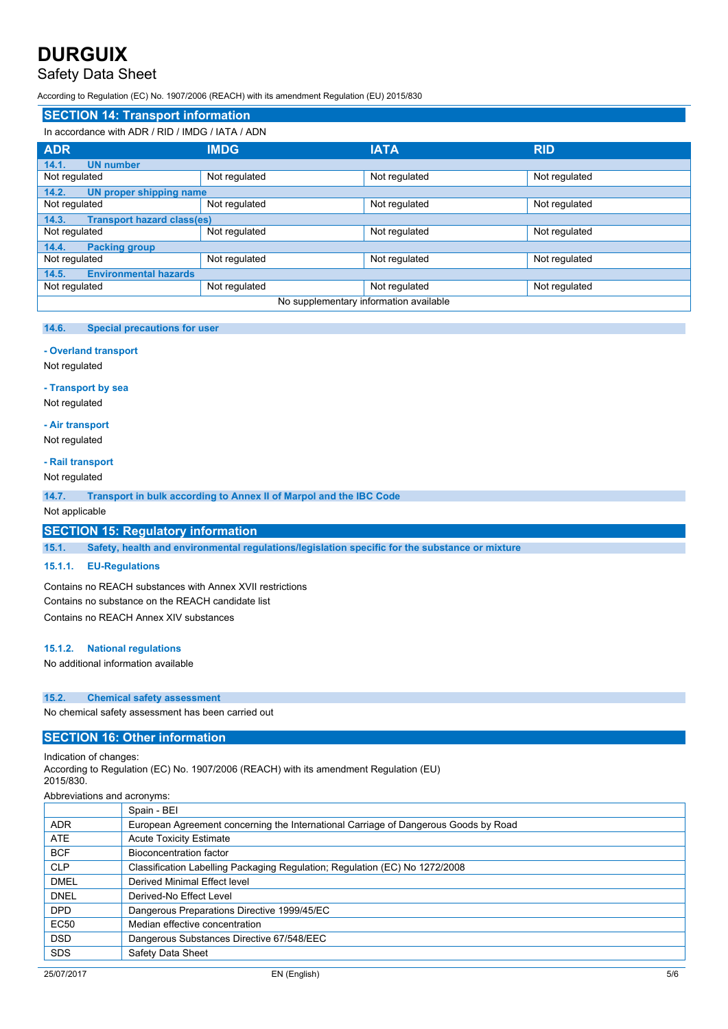## Safety Data Sheet

According to Regulation (EC) No. 1907/2006 (REACH) with its amendment Regulation (EU) 2015/830

| <b>SECTION 14: Transport information</b>   |                                                  |               |               |  |
|--------------------------------------------|--------------------------------------------------|---------------|---------------|--|
|                                            | In accordance with ADR / RID / IMDG / IATA / ADN |               |               |  |
| <b>ADR</b>                                 | <b>IMDG</b>                                      | <b>IATA</b>   | <b>RID</b>    |  |
| 14.1.<br><b>UN number</b>                  |                                                  |               |               |  |
| Not regulated                              | Not regulated                                    | Not regulated | Not regulated |  |
| 14.2.<br><b>UN proper shipping name</b>    |                                                  |               |               |  |
| Not regulated                              | Not regulated                                    | Not regulated | Not regulated |  |
| <b>Transport hazard class(es)</b><br>14.3. |                                                  |               |               |  |
| Not regulated                              | Not regulated                                    | Not regulated | Not regulated |  |
| 14.4.<br><b>Packing group</b>              |                                                  |               |               |  |
| Not regulated                              | Not regulated                                    | Not regulated | Not regulated |  |
| <b>Environmental hazards</b><br>14.5.      |                                                  |               |               |  |
| Not regulated                              | Not regulated                                    | Not regulated | Not regulated |  |
| No supplementary information available     |                                                  |               |               |  |

### **14.6. Special precautions for user**

#### **- Overland transport**

Not regulated

## **- Transport by sea**

Not regulated

### **- Air transport**

Not regulated

### **- Rail transport**

Not regulated

**14.7. Transport in bulk according to Annex II of Marpol and the IBC Code**

### Not applicable

### **SECTION 15: Regulatory information**

**15.1. Safety, health and environmental regulations/legislation specific for the substance or mixture**

### **15.1.1. EU-Regulations**

Contains no REACH substances with Annex XVII restrictions Contains no substance on the REACH candidate list Contains no REACH Annex XIV substances

#### **15.1.2. National regulations**

No additional information available

#### **15.2. Chemical safety assessment**

No chemical safety assessment has been carried out

### **SECTION 16: Other information**

Indication of changes:

According to Regulation (EC) No. 1907/2006 (REACH) with its amendment Regulation (EU) 2015/830. Abbreviations and acronyms:

| ADDIEVIATIONS AND ACTOMOTIS. |             |  |  |
|------------------------------|-------------|--|--|
|                              | Spain - BEI |  |  |

|             | <b>ODAILE DEL</b>                                                                   |
|-------------|-------------------------------------------------------------------------------------|
| <b>ADR</b>  | European Agreement concerning the International Carriage of Dangerous Goods by Road |
| ATE         | <b>Acute Toxicity Estimate</b>                                                      |
| <b>BCF</b>  | Bioconcentration factor                                                             |
| <b>CLP</b>  | Classification Labelling Packaging Regulation; Regulation (EC) No 1272/2008         |
| <b>DMEL</b> | Derived Minimal Effect level                                                        |
| <b>DNEL</b> | Derived-No Effect Level                                                             |
| <b>DPD</b>  | Dangerous Preparations Directive 1999/45/EC                                         |
| <b>EC50</b> | Median effective concentration                                                      |
| <b>DSD</b>  | Dangerous Substances Directive 67/548/EEC                                           |
| <b>SDS</b>  | Safety Data Sheet                                                                   |
|             |                                                                                     |